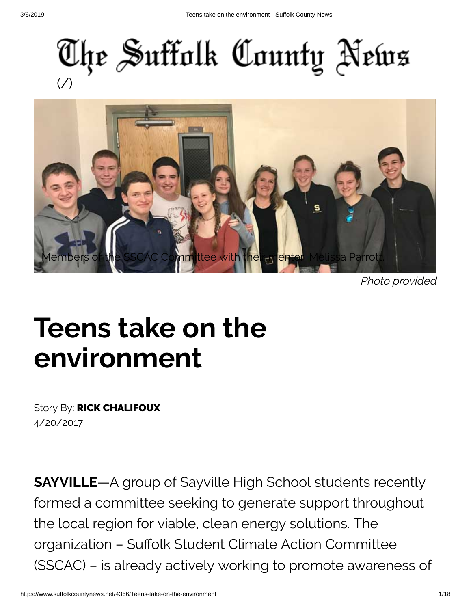



Photo provided

# **Teens take on the environment**

Story By: RICK CHALIFOUX 4/20/2017

**SAYVILLE**—A group of Sayville High School students recently formed a committee seeking to generate support throughout the local region for viable, clean energy solutions. The organization - Suffolk Student Climate Action Committee (SSCAC) – is already actively working to promote awareness of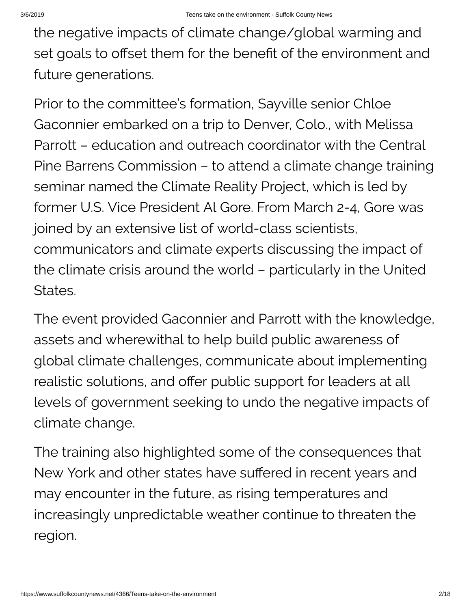the negative impacts of climate change/global warming and set goals to offset them for the benefit of the environment and future generations.

Prior to the committee's formation, Sayville senior Chloe Gaconnier embarked on a trip to Denver, Colo., with Melissa Parrott – education and outreach coordinator with the Central Pine Barrens Commission – to attend a climate change training seminar named the Climate Reality Project, which is led by former U.S. Vice President Al Gore. From March 2-4, Gore was joined by an extensive list of world-class scientists, communicators and climate experts discussing the impact of the climate crisis around the world – particularly in the United States.

The event provided Gaconnier and Parrott with the knowledge, assets and wherewithal to help build public awareness of global climate challenges, communicate about implementing realistic solutions, and offer public support for leaders at all levels of government seeking to undo the negative impacts of climate change.

The training also highlighted some of the consequences that New York and other states have suffered in recent years and may encounter in the future, as rising temperatures and increasingly unpredictable weather continue to threaten the region.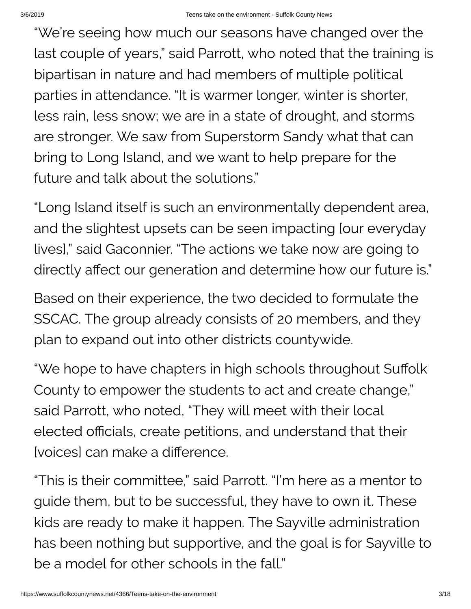"We're seeing how much our seasons have changed over the last couple of years," said Parrott, who noted that the training is bipartisan in nature and had members of multiple political parties in attendance. "It is warmer longer, winter is shorter, less rain, less snow; we are in a state of drought, and storms are stronger. We saw from Superstorm Sandy what that can bring to Long Island, and we want to help prepare for the future and talk about the solutions."

"Long Island itself is such an environmentally dependent area, and the slightest upsets can be seen impacting [our everyday lives]," said Gaconnier. "The actions we take now are going to directly affect our generation and determine how our future is."

Based on their experience, the two decided to formulate the SSCAC. The group already consists of 20 members, and they plan to expand out into other districts countywide.

"We hope to have chapters in high schools throughout Suffolk County to empower the students to act and create change," said Parrott, who noted, "They will meet with their local elected officials, create petitions, and understand that their [voices] can make a difference.

"This is their committee," said Parrott. "I'm here as a mentor to guide them, but to be successful, they have to own it. These kids are ready to make it happen. The Sayville administration has been nothing but supportive, and the goal is for Sayville to be a model for other schools in the fall."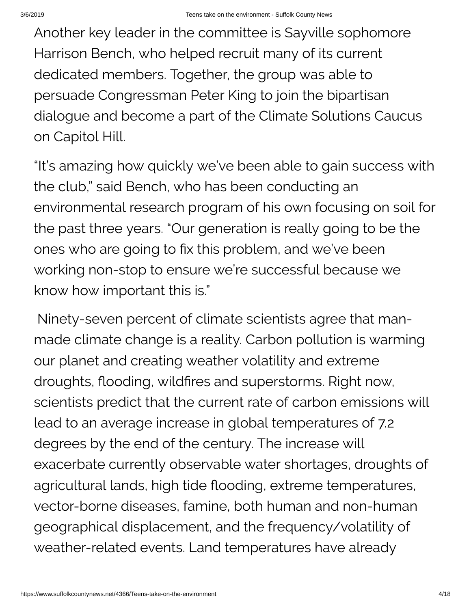Another key leader in the committee is Sayville sophomore Harrison Bench, who helped recruit many of its current dedicated members. Together, the group was able to persuade Congressman Peter King to join the bipartisan dialogue and become a part of the Climate Solutions Caucus on Capitol Hill.

"It's amazing how quickly we've been able to gain success with the club," said Bench, who has been conducting an environmental research program of his own focusing on soil for the past three years. "Our generation is really going to be the ones who are going to fix this problem, and we've been working non-stop to ensure we're successful because we know how important this is."

Ninety-seven percent of climate scientists agree that manmade climate change is a reality. Carbon pollution is warming our planet and creating weather volatility and extreme droughts, flooding, wildfires and superstorms. Right now, scientists predict that the current rate of carbon emissions will lead to an average increase in global temperatures of 7.2 degrees by the end of the century. The increase will exacerbate currently observable water shortages, droughts of agricultural lands, high tide flooding, extreme temperatures, vector-borne diseases, famine, both human and non-human geographical displacement, and the frequency/volatility of weather-related events. Land temperatures have already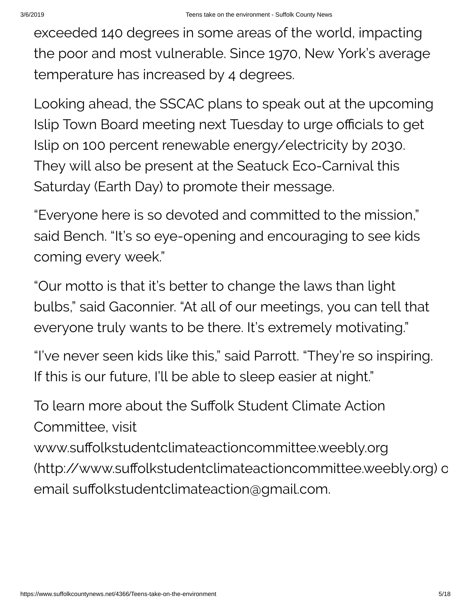exceeded 140 degrees in some areas of the world, impacting the poor and most vulnerable. Since 1970, New York's average temperature has increased by 4 degrees.

Looking ahead, the SSCAC plans to speak out at the upcoming Islip Town Board meeting next Tuesday to urge officials to get Islip on 100 percent renewable energy/electricity by 2030. They will also be present at the Seatuck Eco-Carnival this Saturday (Earth Day) to promote their message.

"Everyone here is so devoted and committed to the mission," said Bench. "It's so eye-opening and encouraging to see kids coming every week."

"Our motto is that it's better to change the laws than light bulbs," said Gaconnier. "At all of our meetings, you can tell that everyone truly wants to be there. It's extremely motivating."

"I've never seen kids like this," said Parrott. "They're so inspiring. If this is our future, I'll be able to sleep easier at night."

To learn more about the Suffolk Student Climate Action Committee, visit

www.suffolkstudentclimateactioncommittee.weebly.org (http://www.suffolkstudentclimateactioncommittee.weebly.org) o email suffolkstudentclimateaction@gmail.com.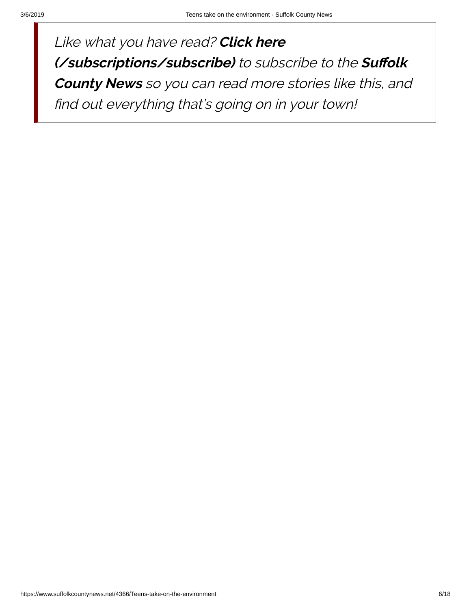Like what you have read? **Click here [\(/subscriptions/subscribe\)](https://www.suffolkcountynews.net/subscriptions/subscribe)** to subscribe to the Suffolk **County News** so you can read more stories like this, and find out everything that's going on in your town!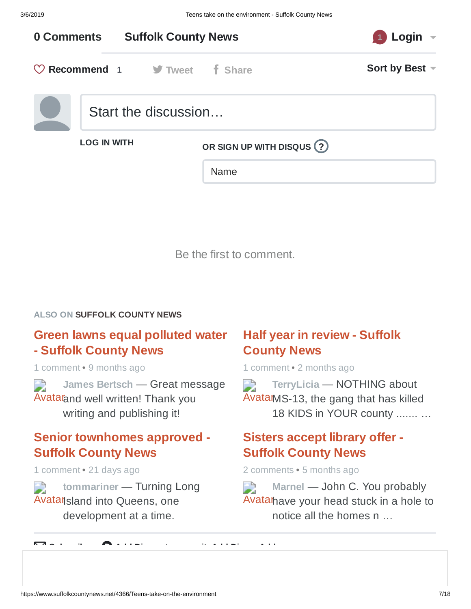

Be the first to comment.

#### **ALSO ON SUFFOLK COUNTY NEWS**

#### **Green lawns equal [polluted](https://disq.us/?url=https%3A%2F%2Fwww.suffolkcountynews.net%2F5552%2FGreen-lawns-equal-polluted-water&key=7is_ABGgpgwHl9Eq9WZPYA) water - Suffolk County News**

1 comment • 9 months ago

Avatar and well written! [Thank you](https://disq.us/?url=https%3A%2F%2Fwww.suffolkcountynews.net%2F5552%2FGreen-lawns-equal-polluted-water&key=7is_ABGgpgwHl9Eq9WZPYA) **James Bertsch** — Great message writing and publishing it!

#### **Senior [townhomes](https://disq.us/?url=https%3A%2F%2Fwww.suffolkcountynews.net%2F6380%2FSenior-townhomes-approved&key=YjesWradsrctB-sP8o6x3w) approved - Suffolk County News**

1 comment • 21 days ago

**tommariner** — Turning Long FÀ Avatan sland into Queens, one [development](https://disq.us/?url=https%3A%2F%2Fwww.suffolkcountynews.net%2F6380%2FSenior-townhomes-approved&key=YjesWradsrctB-sP8o6x3w) at a time.

#### **Half year in review - Suffolk County News**

1 comment • 2 months ago

Avatar MS-13, the gang that has killed **TerryLicia** — [NOTHING](https://disq.us/?url=https%3A%2F%2Fwww.suffolkcountynews.net%2F6256%2FHalf-year-in-review&key=wnbvjARTaVsr3YCtAdZxjA) about 18 KIDS in YOUR county ....... …

#### **Sisters accept library offer - Suffolk [County](https://disq.us/?url=https%3A%2F%2Fwww.suffolkcountynews.net%2F5979%2FSisters-accept-library-offer&key=KPY8YDxCM8pJs4NPkEcTzg) News**

2 comments • 5 months ago

Avatar have your head stuck in a hole to **Marnel** — John C. You [probably](https://disq.us/?url=https%3A%2F%2Fwww.suffolkcountynews.net%2F5979%2FSisters-accept-library-offer&key=KPY8YDxCM8pJs4NPkEcTzg) notice all the homes n …

[✉](https://disqus.com/) **<sup>S</sup> <sup>b</sup> ib** [d](https://publishers.disqus.com/engage?utm_source=suffolkcountynews&utm_medium=Disqus-Footer) **Add Di <sup>t</sup> it Add Di Add**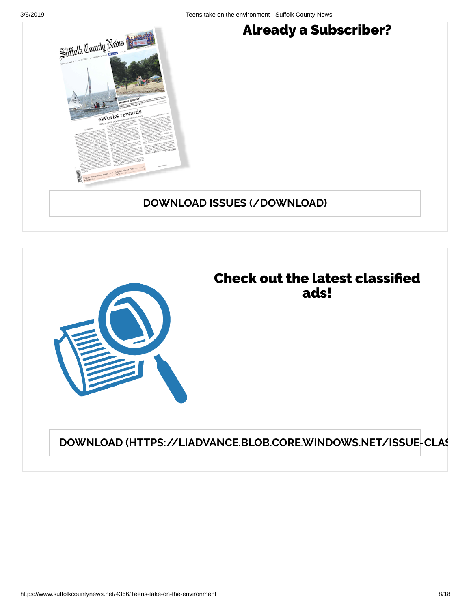

## Already a Subscriber?

#### **DOWNLOAD ISSUES [\(/DOWNLOAD\)](https://www.suffolkcountynews.net/download)**



**DOWNLOAD [\(HTTPS://LIADVANCE.BLOB.CORE.WINDOWS.NET/ISSUE-CLAS](https://liadvance.blob.core.windows.net/issue-classifieds/1_%20Classified%203-7.pdf)**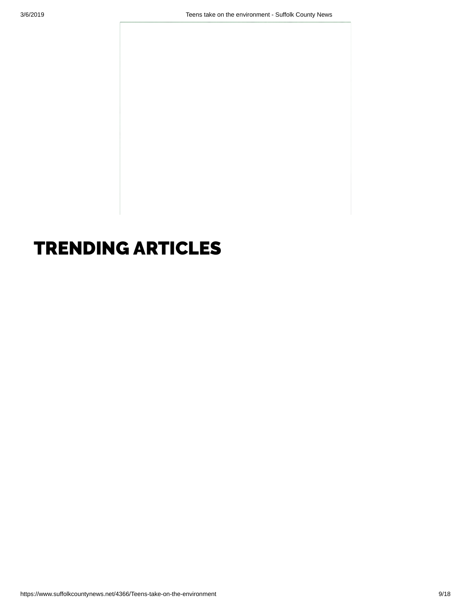# TRENDING ARTICLES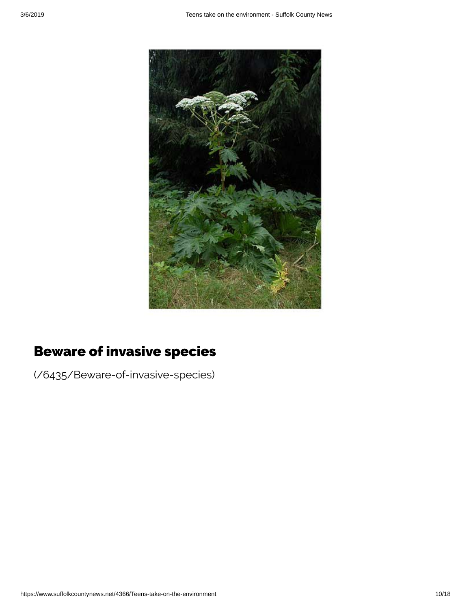

# Beware of invasive species

[\(/6435/Beware-of-invasive-species\)](https://www.suffolkcountynews.net/6435/Beware-of-invasive-species)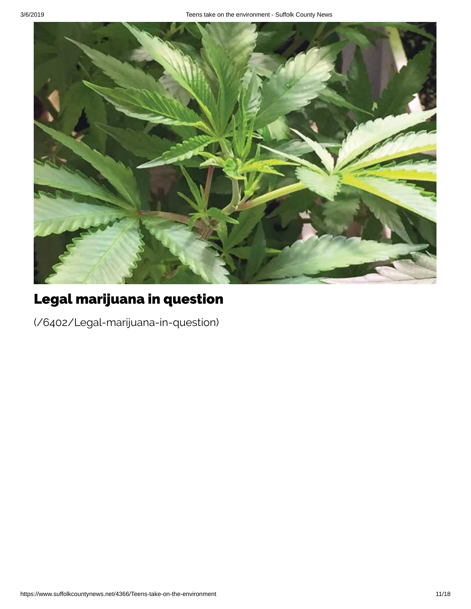

# Legal marijuana in question

[\(/6402/Legal-marijuana-in-question\)](https://www.suffolkcountynews.net/6402/Legal-marijuana-in-question)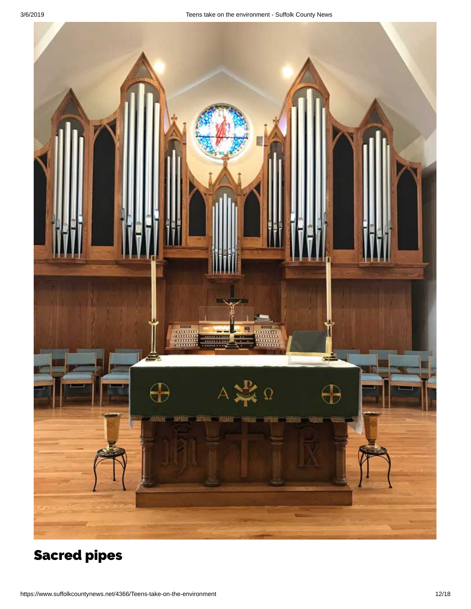

# [Sacred](https://www.suffolkcountynews.net/6405/Sacred-pipes) pipes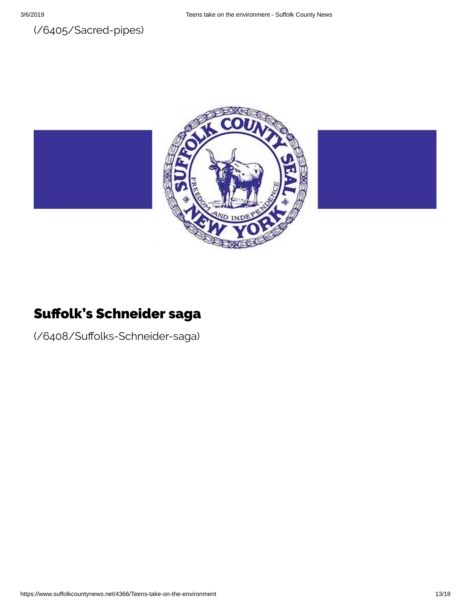



#### Suffolk's Schneider saga

(/6408/Suffolks-Schneider-saga)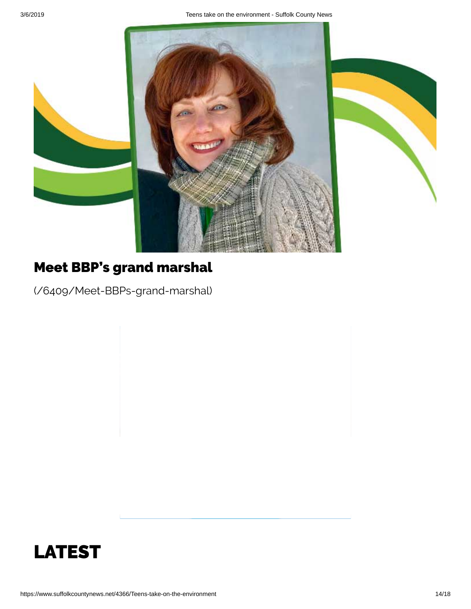

# Meet BBP's grand marshal

[\(/6409/Meet-BBPs-grand-marshal\)](https://www.suffolkcountynews.net/6409/Meet-BBPs-grand-marshal)

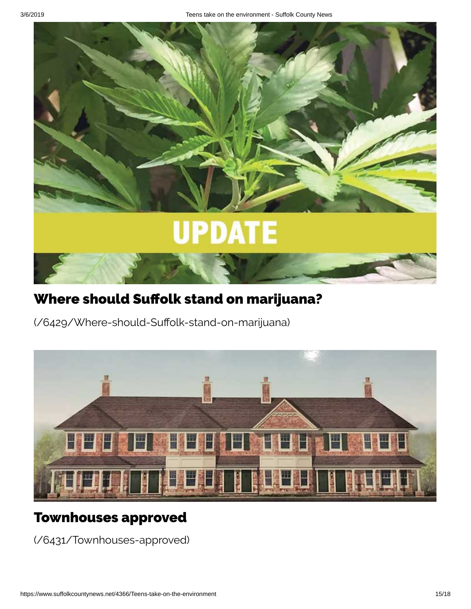

# Where should Suffolk stand on marijuana?

(/6429/Where-should-Suffolk-stand-on-marijuana)



#### Townhouses approved

[\(/6431/Townhouses-approved\)](https://www.suffolkcountynews.net/6431/Townhouses-approved)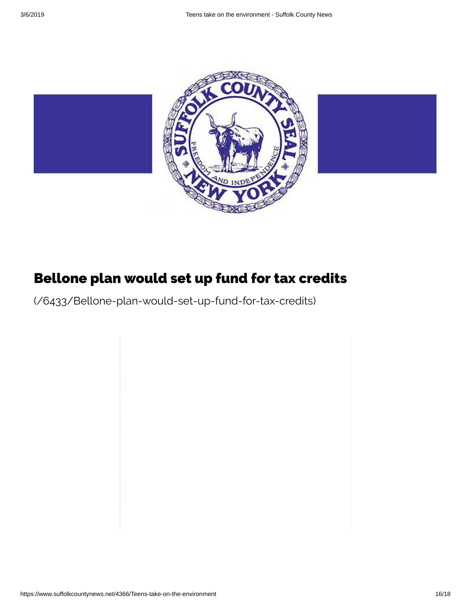

# Bellone plan would set up fund for tax credits

[\(/6433/Bellone-plan-would-set-up-fund-for-tax-credits\)](https://www.suffolkcountynews.net/6433/Bellone-plan-would-set-up-fund-for-tax-credits)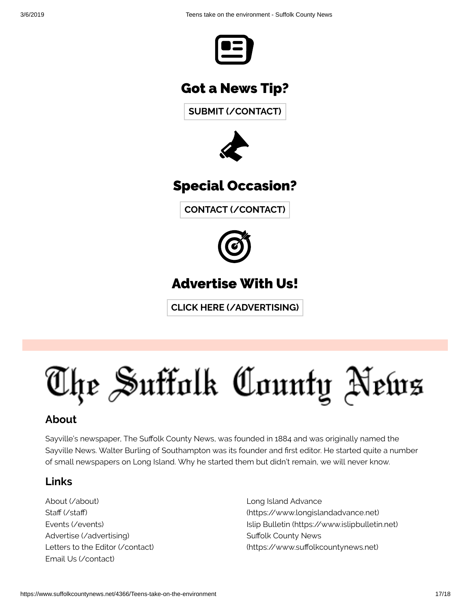

#### Got a News Tip?

**SUBMIT [\(/CONTACT\)](https://www.suffolkcountynews.net/contact)**



#### Specia l Occasion?

**CONTACT [\(/CONTACT\)](https://www.suffolkcountynews.net/contact)**



## Advert ise With Us!

**CLICK HERE [\(/ADVERTISING\)](https://www.suffolkcountynews.net/advertising)**

# The Suffolk County News

#### **About**

Sayville's newspaper, The Suffolk County News, was founded in 1884 and was originally named the Sayville News. Walter Burling of Southampton was its founder and first editor. He started quite a number of small newspapers on Long Island. Why he started them but didn't remain, we will never know.

#### **Links**

About [\(/about\)](https://www.suffolkcountynews.net/about) Staff (/staff) Events [\(/events\)](https://www.suffolkcountynews.net/events) Advertise [\(/advertising\)](https://www.suffolkcountynews.net/advertising) Letters to the Editor [\(/contact\)](https://www.suffolkcountynews.net/contact) Email Us [\(/contact\)](https://www.suffolkcountynews.net/contact)

Long Island Advance [\(https://www.longislandadvance.net\)](https://www.longislandadvance.net/) Islip Bulletin [\(https://www.islipbulletin.net\)](https://www.islipbulletin.net/) Suffolk County News (https://www.suffolkcountynews.net)